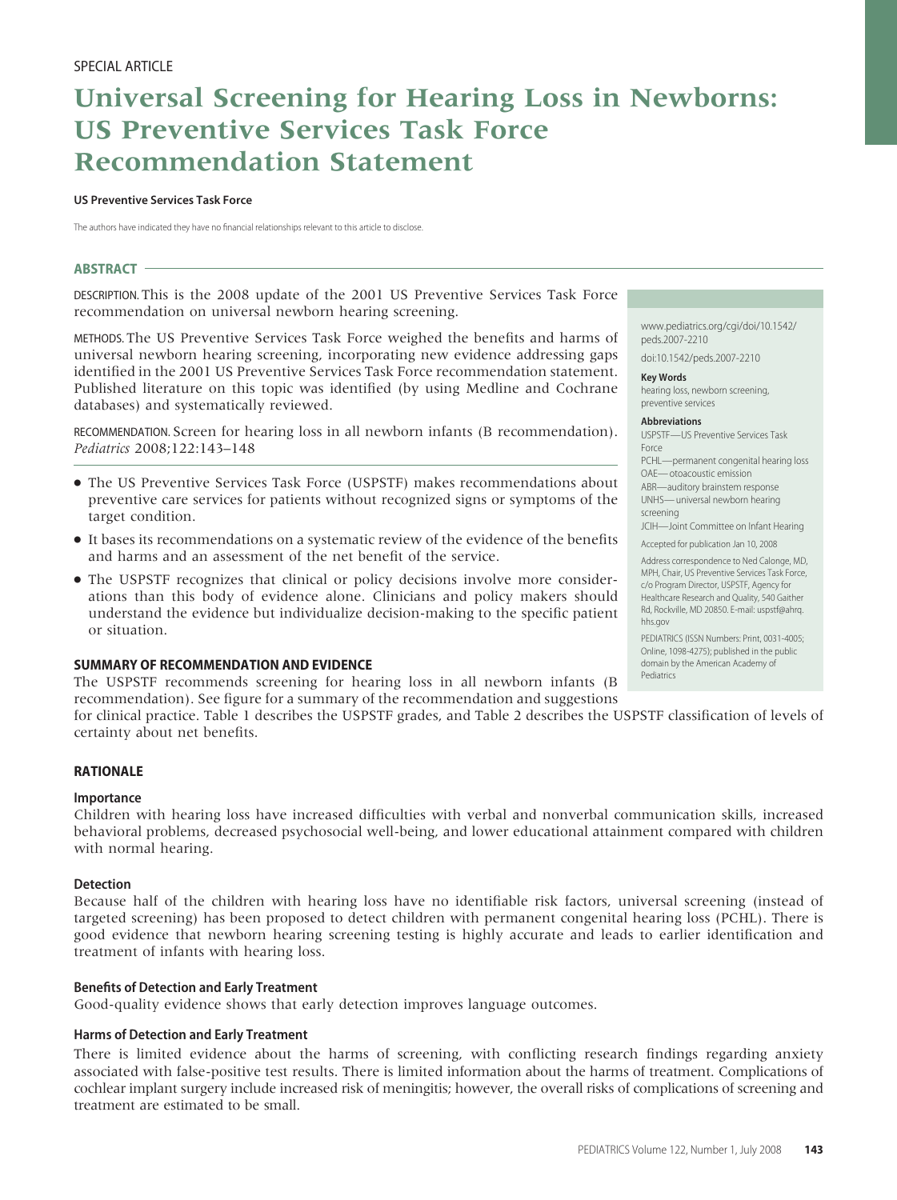# **Universal Screening for Hearing Loss in Newborns: US Preventive Services Task Force Recommendation Statement**

## **US Preventive Services Task Force**

The authors have indicated they have no financial relationships relevant to this article to disclose.

## **ABSTRACT**

DESCRIPTION. This is the 2008 update of the 2001 US Preventive Services Task Force recommendation on universal newborn hearing screening.

METHODS. The US Preventive Services Task Force weighed the benefits and harms of universal newborn hearing screening, incorporating new evidence addressing gaps identified in the 2001 US Preventive Services Task Force recommendation statement. Published literature on this topic was identified (by using Medline and Cochrane databases) and systematically reviewed.

RECOMMENDATION. Screen for hearing loss in all newborn infants (B recommendation). *Pediatrics* 2008;122:143–148

- The US Preventive Services Task Force (USPSTF) makes recommendations about preventive care services for patients without recognized signs or symptoms of the target condition.
- It bases its recommendations on a systematic review of the evidence of the benefits and harms and an assessment of the net benefit of the service.
- The USPSTF recognizes that clinical or policy decisions involve more considerations than this body of evidence alone. Clinicians and policy makers should understand the evidence but individualize decision-making to the specific patient or situation.

## **SUMMARY OF RECOMMENDATION AND EVIDENCE**

The USPSTF recommends screening for hearing loss in all newborn infants (B recommendation). See figure for a summary of the recommendation and suggestions

for clinical practice. Table 1 describes the USPSTF grades, and Table 2 describes the USPSTF classification of levels of certainty about net benefits.

# **RATIONALE**

## **Importance**

Children with hearing loss have increased difficulties with verbal and nonverbal communication skills, increased behavioral problems, decreased psychosocial well-being, and lower educational attainment compared with children with normal hearing.

## **Detection**

Because half of the children with hearing loss have no identifiable risk factors, universal screening (instead of targeted screening) has been proposed to detect children with permanent congenital hearing loss (PCHL). There is good evidence that newborn hearing screening testing is highly accurate and leads to earlier identification and treatment of infants with hearing loss.

# **Benefits of Detection and Early Treatment**

Good-quality evidence shows that early detection improves language outcomes.

# **Harms of Detection and Early Treatment**

There is limited evidence about the harms of screening, with conflicting research findings regarding anxiety associated with false-positive test results. There is limited information about the harms of treatment. Complications of cochlear implant surgery include increased risk of meningitis; however, the overall risks of complications of screening and treatment are estimated to be small.

www.pediatrics.org/cgi/doi/10.1542/ peds.2007-2210

doi:10.1542/peds.2007-2210

**Key Words** hearing loss, newborn screening, preventive services

#### **Abbreviations**

USPSTF—US Preventive Services Task Force

PCHL—permanent congenital hearing loss OAE— otoacoustic emission ABR—auditory brainstem response UNHS—universal newborn hearing screening

JCIH—Joint Committee on Infant Hearing

Accepted for publication Jan 10, 2008

Address correspondence to Ned Calonge, MD, MPH, Chair, US Preventive Services Task Force, c/o Program Director, USPSTF, Agency for Healthcare Research and Quality, 540 Gaither Rd, Rockville, MD 20850. E-mail: uspstf@ahrq. hhs.gov

PEDIATRICS (ISSN Numbers: Print, 0031-4005; Online, 1098-4275); published in the public domain by the American Academy of Pediatrics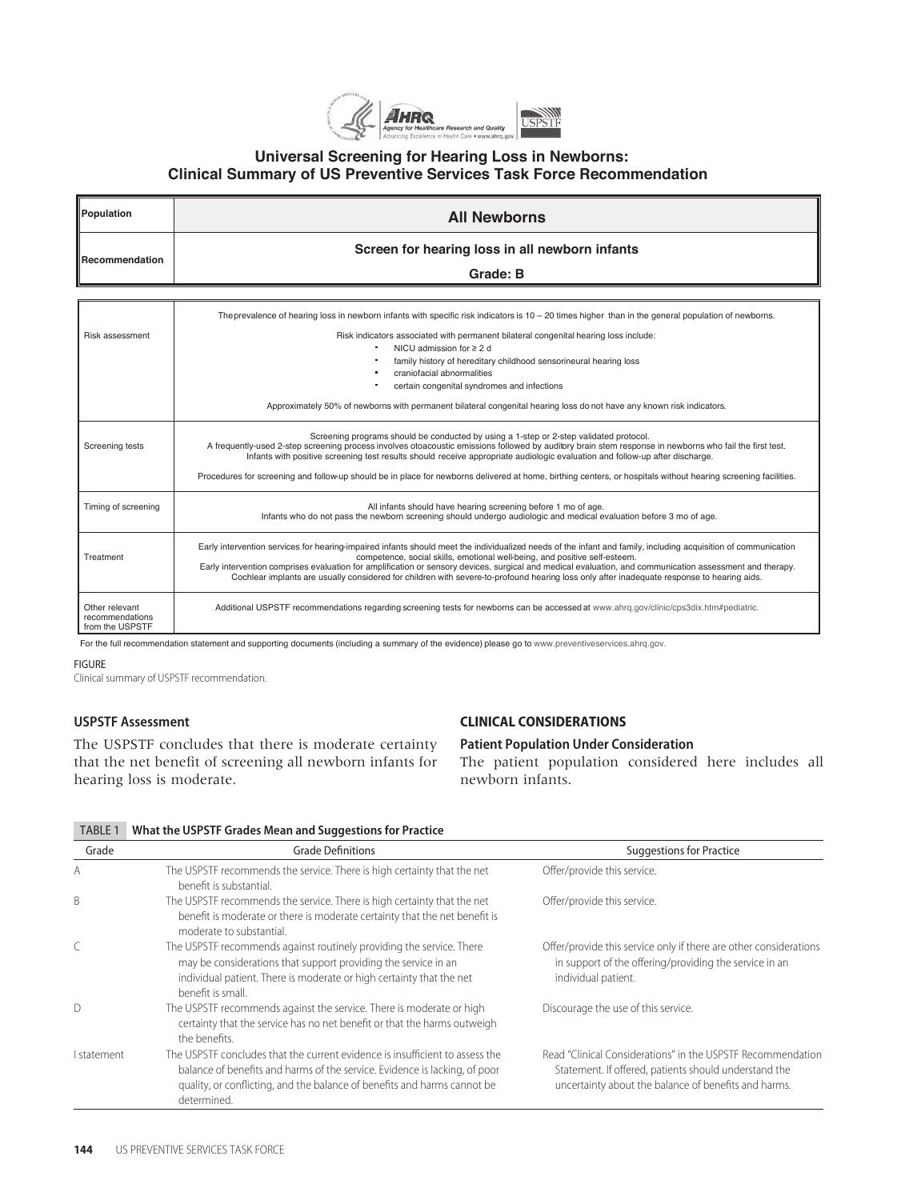

# **Universal Screening for Hearing Loss in Newborns: Clinical Summary of US Preventive Services Task Force Recommendation**

| Population             | <b>All Newborns</b>                            |  |
|------------------------|------------------------------------------------|--|
| <b>IRecommendation</b> | Screen for hearing loss in all newborn infants |  |
|                        | Grade: B                                       |  |

|                                                      | The prevalence of hearing loss in newborn infants with specific risk indicators is $10 - 20$ times higher than in the general population of newborns.                                                                                                                                                                                                                                                                                                                                                                                                  |  |
|------------------------------------------------------|--------------------------------------------------------------------------------------------------------------------------------------------------------------------------------------------------------------------------------------------------------------------------------------------------------------------------------------------------------------------------------------------------------------------------------------------------------------------------------------------------------------------------------------------------------|--|
| Risk assessment                                      | Risk indicators associated with permanent bilateral congenital hearing loss include:<br>NICU admission for $\geq 2$ d<br>family history of hereditary childhood sensorineural hearing loss<br>craniofacial abnormalities<br>certain congenital syndromes and infections<br>Approximately 50% of newborns with permanent bilateral congenital hearing loss do not have any known risk indicators.                                                                                                                                                       |  |
| Screening tests                                      | Screening programs should be conducted by using a 1-step or 2-step validated protocol.<br>A frequently-used 2-step screening process involves otoacoustic emissions followed by auditory brain stem response in newborns who fail the first test.<br>Infants with positive screening test results should receive appropriate audiologic evaluation and follow-up after discharge.<br>Procedures for screening and follow-up should be in place for newborns delivered at home, birthing centers, or hospitals without hearing screening facilities.    |  |
| Timing of screening                                  | All infants should have hearing screening before 1 mo of age.<br>Infants who do not pass the newborn screening should undergo audiologic and medical evaluation before 3 mo of age.                                                                                                                                                                                                                                                                                                                                                                    |  |
| Treatment                                            | Early intervention services for hearing-impaired infants should meet the individualized needs of the infant and family, including acquisition of communication<br>competence, social skills, emotional well-being, and positive self-esteem.<br>Early intervention comprises evaluation for amplification or sensory devices, surgical and medical evaluation, and communication assessment and therapy.<br>Cochlear implants are usually considered for children with severe-to-profound hearing loss only after inadequate response to hearing aids. |  |
| Other relevant<br>recommendations<br>from the USPSTF | Additional USPSTF recommendations regarding screening tests for newborns can be accessed at www.ahrg.gov/clinic/cps3dix.htm#pediatric.                                                                                                                                                                                                                                                                                                                                                                                                                 |  |

For the full recommendation statement and supporting documents (including a summary of the evidence) please go to www.preventiveservices.ahrq.gov.

FIGURE

Clinical summary of USPSTF recommendation.

# **USPSTF Assessment**

The USPSTF concludes that there is moderate certainty that the net benefit of screening all newborn infants for hearing loss is moderate.

# **CLINICAL CONSIDERATIONS**

## **Patient Population Under Consideration**

The patient population considered here includes all newborn infants.

| TABLE 1 What the USPSTF Grades Mean and Suggestions for Practice |
|------------------------------------------------------------------|
|                                                                  |

| Grade        | <b>Grade Definitions</b>                                                                                                                                                                                                                              | <b>Suggestions for Practice</b>                                                                                                                                              |
|--------------|-------------------------------------------------------------------------------------------------------------------------------------------------------------------------------------------------------------------------------------------------------|------------------------------------------------------------------------------------------------------------------------------------------------------------------------------|
| A            | The USPSTF recommends the service. There is high certainty that the net<br>benefit is substantial.                                                                                                                                                    | Offer/provide this service.                                                                                                                                                  |
| B            | The USPSTF recommends the service. There is high certainty that the net<br>benefit is moderate or there is moderate certainty that the net benefit is<br>moderate to substantial.                                                                     | Offer/provide this service.                                                                                                                                                  |
| $\subset$    | The USPSTF recommends against routinely providing the service. There<br>may be considerations that support providing the service in an<br>individual patient. There is moderate or high certainty that the net<br>benefit is small.                   | Offer/provide this service only if there are other considerations<br>in support of the offering/providing the service in an<br>individual patient.                           |
| $\mathsf{D}$ | The USPSTF recommends against the service. There is moderate or high<br>certainty that the service has no net benefit or that the harms outweigh<br>the benefits.                                                                                     | Discourage the use of this service.                                                                                                                                          |
| I statement  | The USPSTF concludes that the current evidence is insufficient to assess the<br>balance of benefits and harms of the service. Evidence is lacking, of poor<br>quality, or conflicting, and the balance of benefits and harms cannot be<br>determined. | Read "Clinical Considerations" in the USPSTF Recommendation<br>Statement. If offered, patients should understand the<br>uncertainty about the balance of benefits and harms. |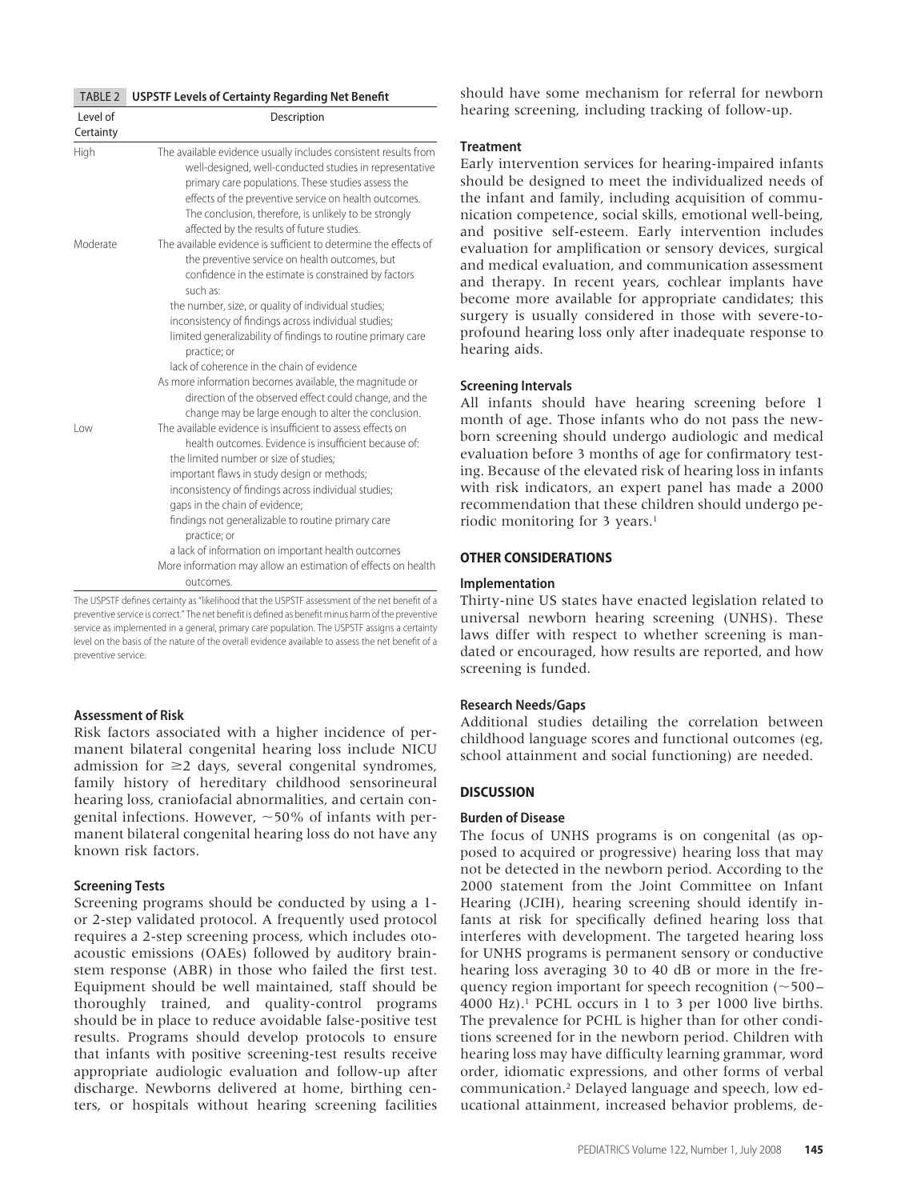#### TABLE 2 **USPSTF Levels of Certainty Regarding Net Benefit**

| Level of<br>Certainty | Description                                                                                                                                                                                                                                                                                                                                                                                                                                                                                                                                                                                             |  |
|-----------------------|---------------------------------------------------------------------------------------------------------------------------------------------------------------------------------------------------------------------------------------------------------------------------------------------------------------------------------------------------------------------------------------------------------------------------------------------------------------------------------------------------------------------------------------------------------------------------------------------------------|--|
| High                  | The available evidence usually includes consistent results from<br>well-designed, well-conducted studies in representative<br>primary care populations. These studies assess the<br>effects of the preventive service on health outcomes.<br>The conclusion, therefore, is unlikely to be strongly<br>affected by the results of future studies.                                                                                                                                                                                                                                                        |  |
| Moderate              | The available evidence is sufficient to determine the effects of<br>the preventive service on health outcomes, but<br>confidence in the estimate is constrained by factors<br>such as:<br>the number, size, or quality of individual studies;<br>inconsistency of findings across individual studies;<br>limited generalizability of findings to routine primary care<br>practice; or                                                                                                                                                                                                                   |  |
| l ow                  | lack of coherence in the chain of evidence<br>As more information becomes available, the magnitude or<br>direction of the observed effect could change, and the<br>change may be large enough to alter the conclusion.<br>The available evidence is insufficient to assess effects on<br>health outcomes. Evidence is insufficient because of:<br>the limited number or size of studies:<br>important flaws in study design or methods;<br>inconsistency of findings across individual studies;<br>gaps in the chain of evidence;<br>findings not generalizable to routine primary care<br>practice; or |  |
|                       | a lack of information on important health outcomes<br>More information may allow an estimation of effects on health<br>outcomes.                                                                                                                                                                                                                                                                                                                                                                                                                                                                        |  |

The USPSTF defines certainty as "likelihood that the USPSTF assessment of the net benefit of a preventive service is correct." The net benefit is defined as benefit minus harm of the preventive service as implemented in a general, primary care population. The USPSTF assigns a certainty level on the basis of the nature of the overall evidence available to assess the net benefit of a preventive service.

## **Assessment of Risk**

Risk factors associated with a higher incidence of permanent bilateral congenital hearing loss include NICU admission for  $\geq$  days, several congenital syndromes, family history of hereditary childhood sensorineural hearing loss, craniofacial abnormalities, and certain congenital infections. However,  $\sim$  50% of infants with permanent bilateral congenital hearing loss do not have any known risk factors.

## **Screening Tests**

Screening programs should be conducted by using a 1 or 2-step validated protocol. A frequently used protocol requires a 2-step screening process, which includes otoacoustic emissions (OAEs) followed by auditory brainstem response (ABR) in those who failed the first test. Equipment should be well maintained, staff should be thoroughly trained, and quality-control programs should be in place to reduce avoidable false-positive test results. Programs should develop protocols to ensure that infants with positive screening-test results receive appropriate audiologic evaluation and follow-up after discharge. Newborns delivered at home, birthing centers, or hospitals without hearing screening facilities should have some mechanism for referral for newborn hearing screening, including tracking of follow-up.

## **Treatment**

Early intervention services for hearing-impaired infants should be designed to meet the individualized needs of the infant and family, including acquisition of communication competence, social skills, emotional well-being, and positive self-esteem. Early intervention includes evaluation for amplification or sensory devices, surgical and medical evaluation, and communication assessment and therapy. In recent years, cochlear implants have become more available for appropriate candidates; this surgery is usually considered in those with severe-toprofound hearing loss only after inadequate response to hearing aids.

#### **Screening Intervals**

All infants should have hearing screening before 1 month of age. Those infants who do not pass the newborn screening should undergo audiologic and medical evaluation before 3 months of age for confirmatory testing. Because of the elevated risk of hearing loss in infants with risk indicators, an expert panel has made a 2000 recommendation that these children should undergo periodic monitoring for 3 years.<sup>1</sup>

## **OTHER CONSIDERATIONS**

#### **Implementation**

Thirty-nine US states have enacted legislation related to universal newborn hearing screening (UNHS). These laws differ with respect to whether screening is mandated or encouraged, how results are reported, and how screening is funded.

#### **Research Needs/Gaps**

Additional studies detailing the correlation between childhood language scores and functional outcomes (eg, school attainment and social functioning) are needed.

## **DISCUSSION**

#### **Burden of Disease**

The focus of UNHS programs is on congenital (as opposed to acquired or progressive) hearing loss that may not be detected in the newborn period. According to the 2000 statement from the Joint Committee on Infant Hearing (JCIH), hearing screening should identify infants at risk for specifically defined hearing loss that interferes with development. The targeted hearing loss for UNHS programs is permanent sensory or conductive hearing loss averaging 30 to 40 dB or more in the frequency region important for speech recognition  $(\sim 500 -$ 4000 Hz).<sup>1</sup> PCHL occurs in 1 to 3 per 1000 live births. The prevalence for PCHL is higher than for other conditions screened for in the newborn period. Children with hearing loss may have difficulty learning grammar, word order, idiomatic expressions, and other forms of verbal communication.2 Delayed language and speech, low educational attainment, increased behavior problems, de-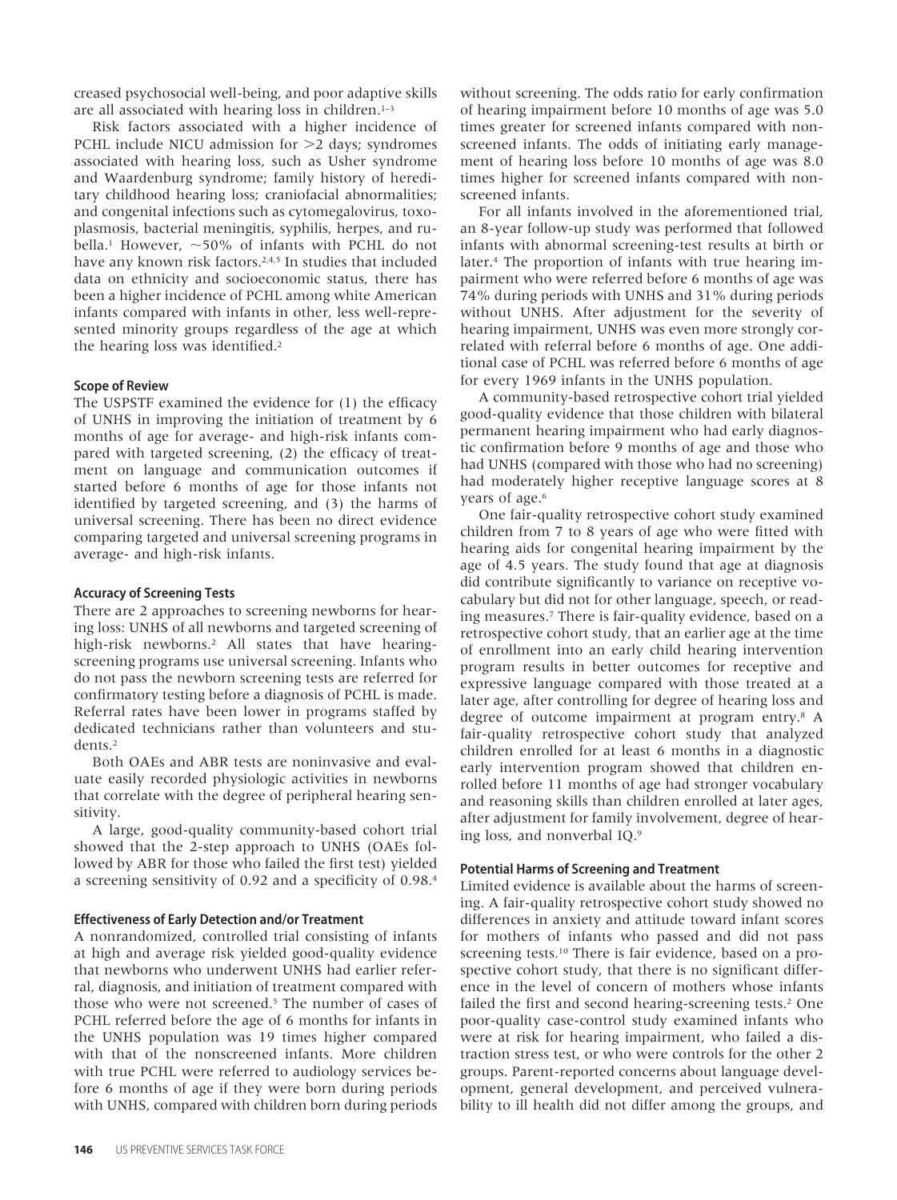creased psychosocial well-being, and poor adaptive skills are all associated with hearing loss in children.1–3

Risk factors associated with a higher incidence of PCHL include NICU admission for  $\geq$  2 days; syndromes associated with hearing loss, such as Usher syndrome and Waardenburg syndrome; family history of hereditary childhood hearing loss; craniofacial abnormalities; and congenital infections such as cytomegalovirus, toxoplasmosis, bacterial meningitis, syphilis, herpes, and rubella.<sup>1</sup> However,  $\sim$  50% of infants with PCHL do not have any known risk factors.<sup>2,4,5</sup> In studies that included data on ethnicity and socioeconomic status, there has been a higher incidence of PCHL among white American infants compared with infants in other, less well-represented minority groups regardless of the age at which the hearing loss was identified.<sup>2</sup>

## **Scope of Review**

The USPSTF examined the evidence for (1) the efficacy of UNHS in improving the initiation of treatment by 6 months of age for average- and high-risk infants compared with targeted screening, (2) the efficacy of treatment on language and communication outcomes if started before 6 months of age for those infants not identified by targeted screening, and (3) the harms of universal screening. There has been no direct evidence comparing targeted and universal screening programs in average- and high-risk infants.

#### **Accuracy of Screening Tests**

There are 2 approaches to screening newborns for hearing loss: UNHS of all newborns and targeted screening of high-risk newborns.<sup>2</sup> All states that have hearingscreening programs use universal screening. Infants who do not pass the newborn screening tests are referred for confirmatory testing before a diagnosis of PCHL is made. Referral rates have been lower in programs staffed by dedicated technicians rather than volunteers and students.2

Both OAEs and ABR tests are noninvasive and evaluate easily recorded physiologic activities in newborns that correlate with the degree of peripheral hearing sensitivity.

A large, good-quality community-based cohort trial showed that the 2-step approach to UNHS (OAEs followed by ABR for those who failed the first test) yielded a screening sensitivity of 0.92 and a specificity of 0.98.4

#### **Effectiveness of Early Detection and/or Treatment**

A nonrandomized, controlled trial consisting of infants at high and average risk yielded good-quality evidence that newborns who underwent UNHS had earlier referral, diagnosis, and initiation of treatment compared with those who were not screened.<sup>5</sup> The number of cases of PCHL referred before the age of 6 months for infants in the UNHS population was 19 times higher compared with that of the nonscreened infants. More children with true PCHL were referred to audiology services before 6 months of age if they were born during periods with UNHS, compared with children born during periods without screening. The odds ratio for early confirmation of hearing impairment before 10 months of age was 5.0 times greater for screened infants compared with nonscreened infants. The odds of initiating early management of hearing loss before 10 months of age was 8.0 times higher for screened infants compared with nonscreened infants.

For all infants involved in the aforementioned trial, an 8-year follow-up study was performed that followed infants with abnormal screening-test results at birth or later.4 The proportion of infants with true hearing impairment who were referred before 6 months of age was 74% during periods with UNHS and 31% during periods without UNHS. After adjustment for the severity of hearing impairment, UNHS was even more strongly correlated with referral before 6 months of age. One additional case of PCHL was referred before 6 months of age for every 1969 infants in the UNHS population.

A community-based retrospective cohort trial yielded good-quality evidence that those children with bilateral permanent hearing impairment who had early diagnostic confirmation before 9 months of age and those who had UNHS (compared with those who had no screening) had moderately higher receptive language scores at 8 years of age.<sup>6</sup>

One fair-quality retrospective cohort study examined children from 7 to 8 years of age who were fitted with hearing aids for congenital hearing impairment by the age of 4.5 years. The study found that age at diagnosis did contribute significantly to variance on receptive vocabulary but did not for other language, speech, or reading measures.7 There is fair-quality evidence, based on a retrospective cohort study, that an earlier age at the time of enrollment into an early child hearing intervention program results in better outcomes for receptive and expressive language compared with those treated at a later age, after controlling for degree of hearing loss and degree of outcome impairment at program entry.8 A fair-quality retrospective cohort study that analyzed children enrolled for at least 6 months in a diagnostic early intervention program showed that children enrolled before 11 months of age had stronger vocabulary and reasoning skills than children enrolled at later ages, after adjustment for family involvement, degree of hearing loss, and nonverbal IQ.9

#### **Potential Harms of Screening and Treatment**

Limited evidence is available about the harms of screening. A fair-quality retrospective cohort study showed no differences in anxiety and attitude toward infant scores for mothers of infants who passed and did not pass screening tests.<sup>10</sup> There is fair evidence, based on a prospective cohort study, that there is no significant difference in the level of concern of mothers whose infants failed the first and second hearing-screening tests.<sup>2</sup> One poor-quality case-control study examined infants who were at risk for hearing impairment, who failed a distraction stress test, or who were controls for the other 2 groups. Parent-reported concerns about language development, general development, and perceived vulnerability to ill health did not differ among the groups, and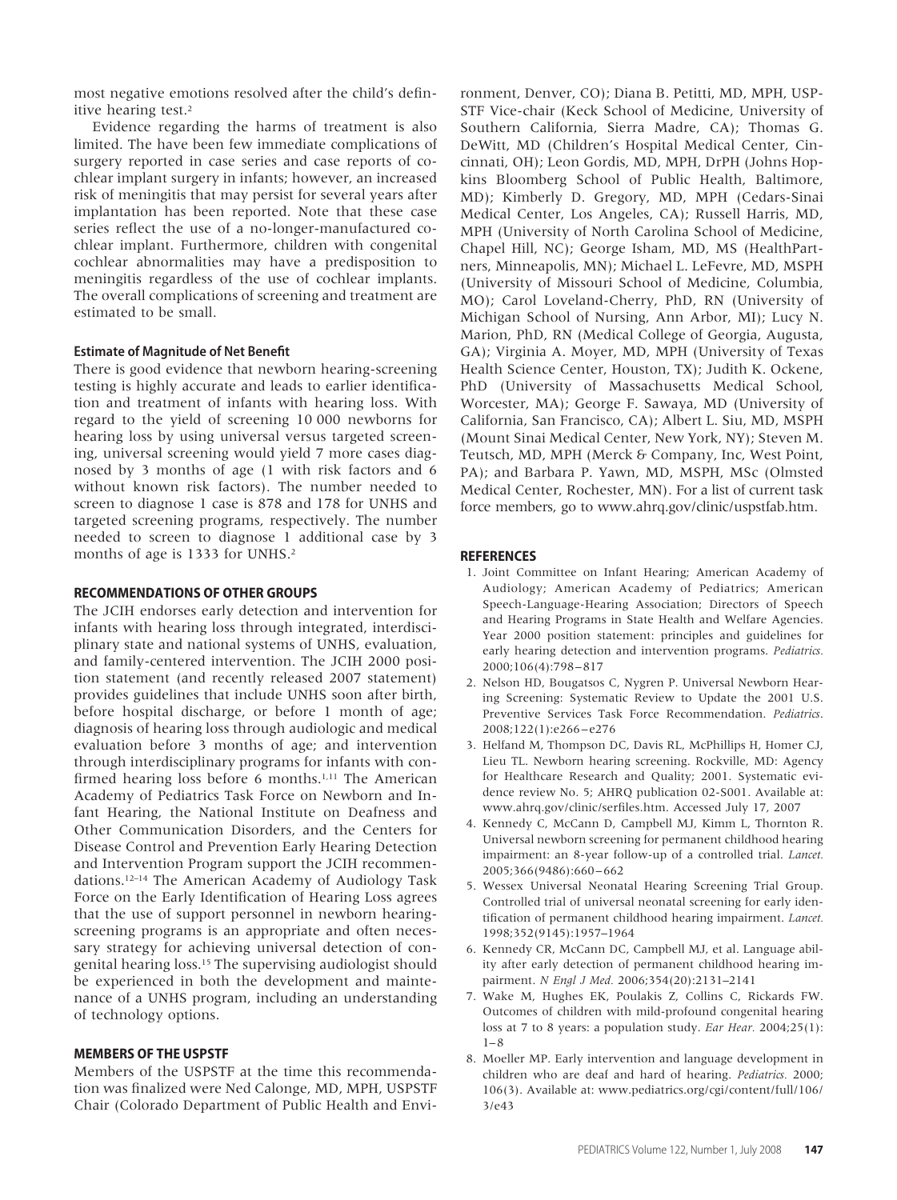most negative emotions resolved after the child's definitive hearing test.2

Evidence regarding the harms of treatment is also limited. The have been few immediate complications of surgery reported in case series and case reports of cochlear implant surgery in infants; however, an increased risk of meningitis that may persist for several years after implantation has been reported. Note that these case series reflect the use of a no-longer-manufactured cochlear implant. Furthermore, children with congenital cochlear abnormalities may have a predisposition to meningitis regardless of the use of cochlear implants. The overall complications of screening and treatment are estimated to be small.

## **Estimate of Magnitude of Net Benefit**

There is good evidence that newborn hearing-screening testing is highly accurate and leads to earlier identification and treatment of infants with hearing loss. With regard to the yield of screening 10 000 newborns for hearing loss by using universal versus targeted screening, universal screening would yield 7 more cases diagnosed by 3 months of age (1 with risk factors and 6 without known risk factors). The number needed to screen to diagnose 1 case is 878 and 178 for UNHS and targeted screening programs, respectively. The number needed to screen to diagnose 1 additional case by 3 months of age is 1333 for UNHS.<sup>2</sup>

# **RECOMMENDATIONS OF OTHER GROUPS**

The JCIH endorses early detection and intervention for infants with hearing loss through integrated, interdisciplinary state and national systems of UNHS, evaluation, and family-centered intervention. The JCIH 2000 position statement (and recently released 2007 statement) provides guidelines that include UNHS soon after birth, before hospital discharge, or before 1 month of age; diagnosis of hearing loss through audiologic and medical evaluation before 3 months of age; and intervention through interdisciplinary programs for infants with confirmed hearing loss before 6 months.<sup>1,11</sup> The American Academy of Pediatrics Task Force on Newborn and Infant Hearing, the National Institute on Deafness and Other Communication Disorders, and the Centers for Disease Control and Prevention Early Hearing Detection and Intervention Program support the JCIH recommendations.12–14 The American Academy of Audiology Task Force on the Early Identification of Hearing Loss agrees that the use of support personnel in newborn hearingscreening programs is an appropriate and often necessary strategy for achieving universal detection of congenital hearing loss.15 The supervising audiologist should be experienced in both the development and maintenance of a UNHS program, including an understanding of technology options.

# **MEMBERS OF THE USPSTF**

Members of the USPSTF at the time this recommendation was finalized were Ned Calonge, MD, MPH, USPSTF Chair (Colorado Department of Public Health and Environment, Denver, CO); Diana B. Petitti, MD, MPH, USP-STF Vice-chair (Keck School of Medicine, University of Southern California, Sierra Madre, CA); Thomas G. DeWitt, MD (Children's Hospital Medical Center, Cincinnati, OH); Leon Gordis, MD, MPH, DrPH (Johns Hopkins Bloomberg School of Public Health, Baltimore, MD); Kimberly D. Gregory, MD, MPH (Cedars-Sinai Medical Center, Los Angeles, CA); Russell Harris, MD, MPH (University of North Carolina School of Medicine, Chapel Hill, NC); George Isham, MD, MS (HealthPartners, Minneapolis, MN); Michael L. LeFevre, MD, MSPH (University of Missouri School of Medicine, Columbia, MO); Carol Loveland-Cherry, PhD, RN (University of Michigan School of Nursing, Ann Arbor, MI); Lucy N. Marion, PhD, RN (Medical College of Georgia, Augusta, GA); Virginia A. Moyer, MD, MPH (University of Texas Health Science Center, Houston, TX); Judith K. Ockene, PhD (University of Massachusetts Medical School, Worcester, MA); George F. Sawaya, MD (University of California, San Francisco, CA); Albert L. Siu, MD, MSPH (Mount Sinai Medical Center, New York, NY); Steven M. Teutsch, MD, MPH (Merck & Company, Inc, West Point, PA); and Barbara P. Yawn, MD, MSPH, MSc (Olmsted Medical Center, Rochester, MN). For a list of current task force members, go to www.ahrq.gov/clinic/uspstfab.htm.

## **REFERENCES**

- 1. Joint Committee on Infant Hearing; American Academy of Audiology; American Academy of Pediatrics; American Speech-Language-Hearing Association; Directors of Speech and Hearing Programs in State Health and Welfare Agencies. Year 2000 position statement: principles and guidelines for early hearing detection and intervention programs. *Pediatrics.* 2000;106(4):798 – 817
- 2. Nelson HD, Bougatsos C, Nygren P. Universal Newborn Hearing Screening: Systematic Review to Update the 2001 U.S. Preventive Services Task Force Recommendation. *Pediatrics*. 2008;122(1):e266 – e276
- 3. Helfand M, Thompson DC, Davis RL, McPhillips H, Homer CJ, Lieu TL. Newborn hearing screening. Rockville, MD: Agency for Healthcare Research and Quality; 2001. Systematic evidence review No. 5; AHRQ publication 02-S001. Available at: www.ahrq.gov/clinic/serfiles.htm. Accessed July 17, 2007
- 4. Kennedy C, McCann D, Campbell MJ, Kimm L, Thornton R. Universal newborn screening for permanent childhood hearing impairment: an 8-year follow-up of a controlled trial. *Lancet.* 2005;366(9486):660 – 662
- 5. Wessex Universal Neonatal Hearing Screening Trial Group. Controlled trial of universal neonatal screening for early identification of permanent childhood hearing impairment. *Lancet.* 1998;352(9145):1957–1964
- 6. Kennedy CR, McCann DC, Campbell MJ, et al. Language ability after early detection of permanent childhood hearing impairment. *N Engl J Med.* 2006;354(20):2131–2141
- 7. Wake M, Hughes EK, Poulakis Z, Collins C, Rickards FW. Outcomes of children with mild-profound congenital hearing loss at 7 to 8 years: a population study. *Ear Hear.* 2004;25(1):  $1 - 8$
- 8. Moeller MP. Early intervention and language development in children who are deaf and hard of hearing. *Pediatrics.* 2000; 106(3). Available at: www.pediatrics.org/cgi/content/full/106/ 3/e43